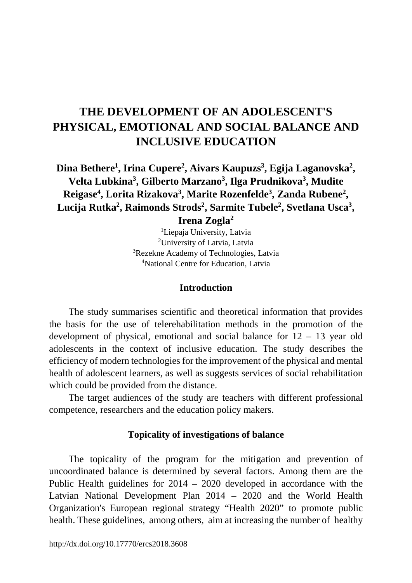# **THE DEVELOPMENT OF AN ADOLESCENT'S PHYSICAL, EMOTIONAL AND SOCIAL BALANCE AND INCLUSIVE EDUCATION**

**Dina Bethere1 , Irina Cupere2 , Aivars Kaupuzs3 , Egija Laganovska2 , Velta Lubkina3 , Gilberto Marzano3 , Ilga Prudnikova3 , Mudite Reigase4 , Lorita Rizakova3 , Marite Rozenfelde3 , Zanda Rubene2 ,**  Lucija Rutka<sup>2</sup>, Raimonds Strods<sup>2</sup>, Sarmite Tubele<sup>2</sup>, Svetlana Usca<sup>3</sup>,

**Irena Zogla2**

 Liepaja University, Latvia University of Latvia, Latvia <sup>3</sup>Rezekne Academy of Technologies, Latvia National Centre for Education, Latvia

### **Introduction**

The study summarises scientific and theoretical information that provides the basis for the use of telerehabilitation methods in the promotion of the development of physical, emotional and social balance for 12 – 13 year old adolescents in the context of inclusive education. The study describes the efficiency of modern technologies for the improvement of the physical and mental health of adolescent learners, as well as suggests services of social rehabilitation which could be provided from the distance.

The target audiences of the study are teachers with different professional competence, researchers and the education policy makers.

### **Topicality of investigations of balance**

The topicality of the program for the mitigation and prevention of uncoordinated balance is determined by several factors. Among them are the Public Health guidelines for 2014 – 2020 developed in accordance with the Latvian National Development Plan 2014 – 2020 and the World Health Organization's European regional strategy "Health 2020" to promote public health. These guidelines, among others, aim at increasing the number of healthy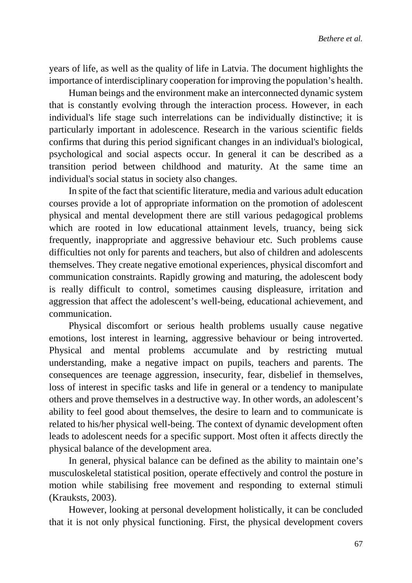years of life, as well as the quality of life in Latvia. The document highlights the importance of interdisciplinary cooperation for improving the population's health.

Human beings and the environment make an interconnected dynamic system that is constantly evolving through the interaction process. However, in each individual's life stage such interrelations can be individually distinctive; it is particularly important in adolescence. Research in the various scientific fields confirms that during this period significant changes in an individual's biological, psychological and social aspects occur. In general it can be described as a transition period between childhood and maturity. At the same time an individual's social status in society also changes.

In spite of the fact that scientific literature, media and various adult education courses provide a lot of appropriate information on the promotion of adolescent physical and mental development there are still various pedagogical problems which are rooted in low educational attainment levels, truancy, being sick frequently, inappropriate and aggressive behaviour etc. Such problems cause difficulties not only for parents and teachers, but also of children and adolescents themselves. They create negative emotional experiences, physical discomfort and communication constraints. Rapidly growing and maturing, the adolescent body is really difficult to control, sometimes causing displeasure, irritation and aggression that affect the adolescent's well-being, educational achievement, and communication.

Physical discomfort or serious health problems usually cause negative emotions, lost interest in learning, aggressive behaviour or being introverted. Physical and mental problems accumulate and by restricting mutual understanding, make a negative impact on pupils, teachers and parents. The consequences are teenage aggression, insecurity, fear, disbelief in themselves, loss of interest in specific tasks and life in general or a tendency to manipulate others and prove themselves in a destructive way. In other words, an adolescent's ability to feel good about themselves, the desire to learn and to communicate is related to his/her physical well-being. The context of dynamic development often leads to adolescent needs for a specific support. Most often it affects directly the physical balance of the development area.

In general, physical balance can be defined as the ability to maintain one's musculoskeletal statistical position, operate effectively and control the posture in motion while stabilising free movement and responding to external stimuli (Krauksts, 2003).

However, looking at personal development holistically, it can be concluded that it is not only physical functioning. First, the physical development covers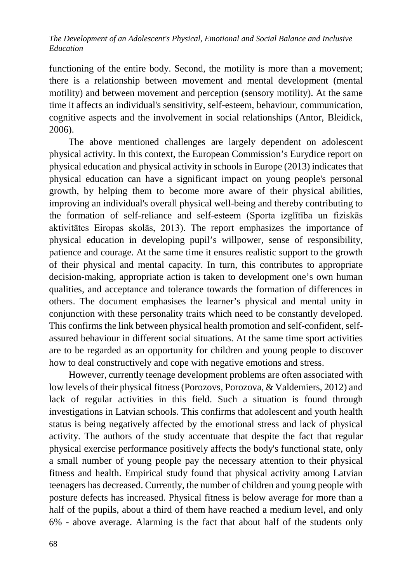functioning of the entire body. Second, the motility is more than a movement; there is a relationship between movement and mental development (mental motility) and between movement and perception (sensory motility). At the same time it affects an individual's sensitivity, self-esteem, behaviour, communication, cognitive aspects and the involvement in social relationships (Antor, Bleidick, 2006).

The above mentioned challenges are largely dependent on adolescent physical activity. In this context, the European Commission's Eurydice report on physical education and physical activity in schools in Europe (2013) indicates that physical education can have a significant impact on young people's personal growth, by helping them to become more aware of their physical abilities, improving an individual's overall physical well-being and thereby contributing to the formation of self-reliance and self-esteem (Sporta izglītība un fiziskās aktivitātes Eiropas skolās, 2013). The report emphasizes the importance of physical education in developing pupil's willpower, sense of responsibility, patience and courage. At the same time it ensures realistic support to the growth of their physical and mental capacity. In turn, this contributes to appropriate decision-making, appropriate action is taken to development one's own human qualities, and acceptance and tolerance towards the formation of differences in others. The document emphasises the learner's physical and mental unity in conjunction with these personality traits which need to be constantly developed. This confirms the link between physical health promotion and self-confident, selfassured behaviour in different social situations. At the same time sport activities are to be regarded as an opportunity for children and young people to discover how to deal constructively and cope with negative emotions and stress.

However, currently teenage development problems are often associated with low levels of their physical fitness (Porozovs, Porozova, & Valdemiers, 2012) and lack of regular activities in this field. Such a situation is found through investigations in Latvian schools. This confirms that adolescent and youth health status is being negatively affected by the emotional stress and lack of physical activity. The authors of the study accentuate that despite the fact that regular physical exercise performance positively affects the body's functional state, only a small number of young people pay the necessary attention to their physical fitness and health. Empirical study found that physical activity among Latvian teenagers has decreased. Currently, the number of children and young people with posture defects has increased. Physical fitness is below average for more than a half of the pupils, about a third of them have reached a medium level, and only 6% - above average. Alarming is the fact that about half of the students only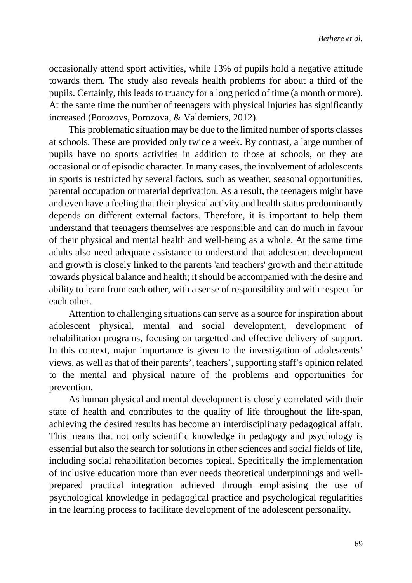occasionally attend sport activities, while 13% of pupils hold a negative attitude towards them. The study also reveals health problems for about a third of the pupils. Certainly, this leads to truancy for a long period of time (a month or more). At the same time the number of teenagers with physical injuries has significantly increased (Porozovs, Porozova, & Valdemiers, 2012).

This problematic situation may be due to the limited number of sports classes at schools. These are provided only twice a week. By contrast, a large number of pupils have no sports activities in addition to those at schools, or they are occasional or of episodic character. In many cases, the involvement of adolescents in sports is restricted by several factors, such as weather, seasonal opportunities, parental occupation or material deprivation. As a result, the teenagers might have and even have a feeling that their physical activity and health status predominantly depends on different external factors. Therefore, it is important to help them understand that teenagers themselves are responsible and can do much in favour of their physical and mental health and well-being as a whole. At the same time adults also need adequate assistance to understand that adolescent development and growth is closely linked to the parents 'and teachers' growth and their attitude towards physical balance and health; it should be accompanied with the desire and ability to learn from each other, with a sense of responsibility and with respect for each other.

Attention to challenging situations can serve as a source for inspiration about adolescent physical, mental and social development, development of rehabilitation programs, focusing on targetted and effective delivery of support. In this context, major importance is given to the investigation of adolescents' views, as well as that of their parents', teachers', supporting staff's opinion related to the mental and physical nature of the problems and opportunities for prevention.

As human physical and mental development is closely correlated with their state of health and contributes to the quality of life throughout the life-span, achieving the desired results has become an interdisciplinary pedagogical affair. This means that not only scientific knowledge in pedagogy and psychology is essential but also the search for solutions in other sciences and social fields of life, including social rehabilitation becomes topical. Specifically the implementation of inclusive education more than ever needs theoretical underpinnings and wellprepared practical integration achieved through emphasising the use of psychological knowledge in pedagogical practice and psychological regularities in the learning process to facilitate development of the adolescent personality.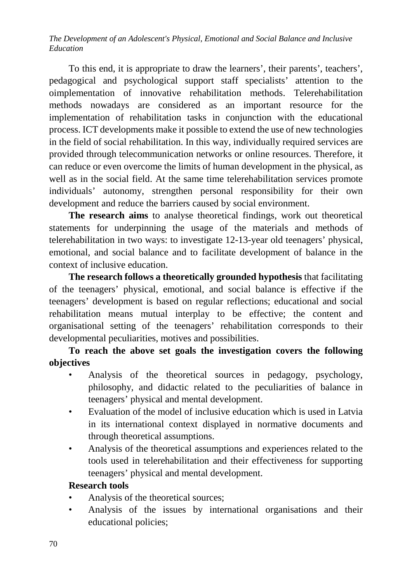To this end, it is appropriate to draw the learners', their parents', teachers', pedagogical and psychological support staff specialists' attention to the oimplementation of innovative rehabilitation methods. Telerehabilitation methods nowadays are considered as an important resource for the implementation of rehabilitation tasks in conjunction with the educational process. ICT developments make it possible to extend the use of new technologies in the field of social rehabilitation. In this way, individually required services are provided through telecommunication networks or online resources. Therefore, it can reduce or even overcome the limits of human development in the physical, as well as in the social field. At the same time telerehabilitation services promote individuals' autonomy, strengthen personal responsibility for their own development and reduce the barriers caused by social environment.

**The research aims** to analyse theoretical findings, work out theoretical statements for underpinning the usage of the materials and methods of telerehabilitation in two ways: to investigate 12-13-year old teenagers' physical, emotional, and social balance and to facilitate development of balance in the context of inclusive education.

**The research follows a theoretically grounded hypothesis** that facilitating of the teenagers' physical, emotional, and social balance is effective if the teenagers' development is based on regular reflections; educational and social rehabilitation means mutual interplay to be effective; the content and organisational setting of the teenagers' rehabilitation corresponds to their developmental peculiarities, motives and possibilities.

**To reach the above set goals the investigation covers the following objectives**

- Analysis of the theoretical sources in pedagogy, psychology, philosophy, and didactic related to the peculiarities of balance in teenagers' physical and mental development.
- Evaluation of the model of inclusive education which is used in Latvia in its international context displayed in normative documents and through theoretical assumptions.
- Analysis of the theoretical assumptions and experiences related to the tools used in telerehabilitation and their effectiveness for supporting teenagers' physical and mental development.

## **Research tools**

- Analysis of the theoretical sources;
- Analysis of the issues by international organisations and their educational policies;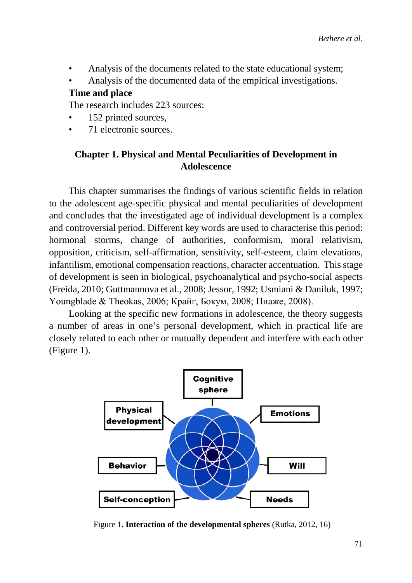- Analysis of the documents related to the state educational system;
- Analysis of the documented data of the empirical investigations.

#### **Time and place**

The research includes 223 sources:

- 152 printed sources.
- 71 electronic sources.

### **Chapter 1. Physical and Mental Peculiarities of Development in Adolescence**

This chapter summarises the findings of various scientific fields in relation to the adolescent age-specific physical and mental peculiarities of development and concludes that the investigated age of individual development is a complex and controversial period. Different key words are used to characterise this period: hormonal storms, change of authorities, conformism, moral relativism, opposition, criticism, self-affirmation, sensitivity, self-esteem, claim elevations, infantilism, emotional compensation reactions, character accentuation. This stage of development is seen in biological, psychoanalytical and psycho-social aspects (Freida, 2010; Guttmannova et al., 2008; Jessor, 1992; Usmiani & Daniluk, 1997; Youngblade & Theokas, 2006; Крайг, Бокум, 2008; Пиаже, 2008).

Looking at the specific new formations in adolescence, the theory suggests a number of areas in one's personal development, which in practical life are closely related to each other or mutually dependent and interfere with each other (Figure 1).



Figure 1. **Interaction of the developmental spheres** (Rutka, 2012, 16)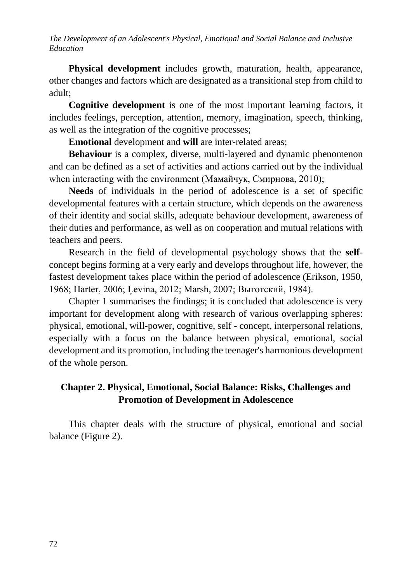**Physical development** includes growth, maturation, health, appearance, other changes and factors which are designated as a transitional step from child to adult;

**Cognitive development** is one of the most important learning factors, it includes feelings, perception, attention, memory, imagination, speech, thinking, as well as the integration of the cognitive processes;

**Emotional** development and **will** are inter-related areas;

**Behaviour** is a complex, diverse, multi-layered and dynamic phenomenon and can be defined as a set of activities and actions carried out by the individual when interacting with the environment (Мамайчук, Смирнова, 2010);

**Needs** of individuals in the period of adolescence is a set of specific developmental features with a certain structure, which depends on the awareness of their identity and social skills, adequate behaviour development, awareness of their duties and performance, as well as on cooperation and mutual relations with teachers and peers.

Research in the field of developmental psychology shows that the **self**concept begins forming at a very early and develops throughout life, however, the fastest development takes place within the period of adolescence (Erikson, 1950, 1968; Harter, 2006; Ļevina, 2012; Marsh, 2007; Выготский, 1984).

Chapter 1 summarises the findings; it is concluded that adolescence is very important for development along with research of various overlapping spheres: physical, emotional, will-power, cognitive, self - concept, interpersonal relations, especially with a focus on the balance between physical, emotional, social development and its promotion, including the teenager's harmonious development of the whole person.

# **Chapter 2. Physical, Emotional, Social Balance: Risks, Challenges and Promotion of Development in Adolescence**

This chapter deals with the structure of physical, emotional and social balance (Figure 2).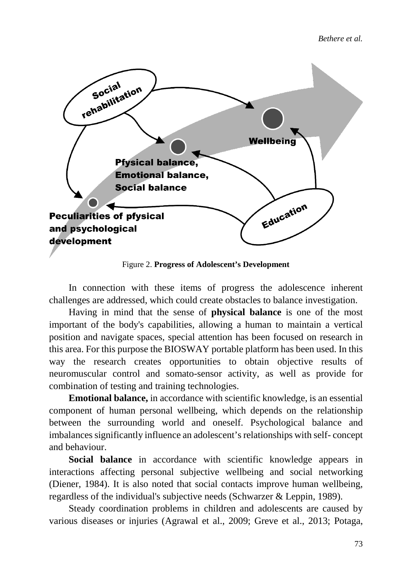*Bethere et al.*



Figure 2. **Progress of Adolescent's Development**

In connection with these items of progress the adolescence inherent challenges are addressed, which could create obstacles to balance investigation.

Having in mind that the sense of **physical balance** is one of the most important of the body's capabilities, allowing a human to maintain a vertical position and navigate spaces, special attention has been focused on research in this area. For this purpose the BIOSWAY portable platform has been used. In this way the research creates opportunities to obtain objective results of neuromuscular control and somato-sensor activity, as well as provide for combination of testing and training technologies.

**Emotional balance,** in accordance with scientific knowledge, is an essential component of human personal wellbeing, which depends on the relationship between the surrounding world and oneself. Psychological balance and imbalances significantly influence an adolescent's relationships with self- concept and behaviour.

**Social balance** in accordance with scientific knowledge appears in interactions affecting personal subjective wellbeing and social networking (Diener, 1984). It is also noted that social contacts improve human wellbeing, regardless of the individual's subjective needs (Schwarzer & Leppin, 1989).

Steady coordination problems in children and adolescents are caused by various diseases or injuries (Agrawal et al., 2009; Greve et al., 2013; Potaga,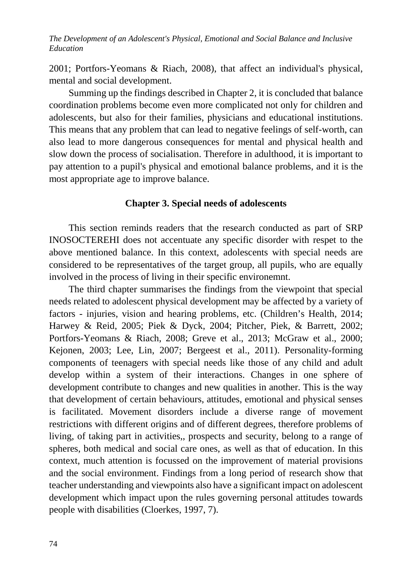2001; Portfors-Yeomans & Riach, 2008), that affect an individual's physical, mental and social development.

Summing up the findings described in Chapter 2, it is concluded that balance coordination problems become even more complicated not only for children and adolescents, but also for their families, physicians and educational institutions. This means that any problem that can lead to negative feelings of self-worth, can also lead to more dangerous consequences for mental and physical health and slow down the process of socialisation. Therefore in adulthood, it is important to pay attention to a pupil's physical and emotional balance problems, and it is the most appropriate age to improve balance.

### **Chapter 3. Special needs of adolescents**

This section reminds readers that the research conducted as part of SRP INOSOCTEREHI does not accentuate any specific disorder with respet to the above mentioned balance. In this context, adolescents with special needs are considered to be representatives of the target group, all pupils, who are equally involved in the process of living in their specific environemnt.

The third chapter summarises the findings from the viewpoint that special needs related to adolescent physical development may be affected by a variety of factors - injuries, vision and hearing problems, etc. (Children's Health, 2014; Harwey & Reid, 2005; Piek & Dyck, 2004; Pitcher, Piek, & Barrett, 2002; Portfors-Yeomans & Riach, 2008; Greve et al., 2013; McGraw et al., 2000; Kejonen, 2003; Lee, Lin, 2007; Bergeest et al., 2011). Personality-forming components of teenagers with special needs like those of any child and adult develop within a system of their interactions. Changes in one sphere of development contribute to changes and new qualities in another. This is the way that development of certain behaviours, attitudes, emotional and physical senses is facilitated. Movement disorders include a diverse range of movement restrictions with different origins and of different degrees, therefore problems of living, of taking part in activities,, prospects and security, belong to a range of spheres, both medical and social care ones, as well as that of education. In this context, much attention is focussed on the improvement of material provisions and the social environment. Findings from a long period of research show that teacher understanding and viewpoints also have a significant impact on adolescent development which impact upon the rules governing personal attitudes towards people with disabilities (Cloerkes, 1997, 7).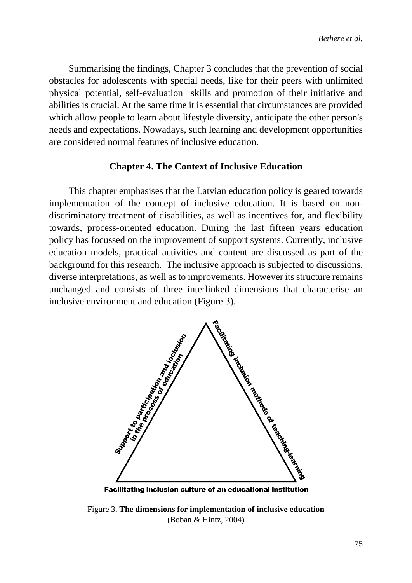Summarising the findings, Chapter 3 concludes that the prevention of social obstacles for adolescents with special needs, like for their peers with unlimited physical potential, self-evaluation skills and promotion of their initiative and abilities is crucial. At the same time it is essential that circumstances are provided which allow people to learn about lifestyle diversity, anticipate the other person's needs and expectations. Nowadays, such learning and development opportunities are considered normal features of inclusive education.

### **Chapter 4. The Context of Inclusive Education**

This chapter emphasises that the Latvian education policy is geared towards implementation of the concept of inclusive education. It is based on nondiscriminatory treatment of disabilities, as well as incentives for, and flexibility towards, process-oriented education. During the last fifteen years education policy has focussed on the improvement of support systems. Currently, inclusive education models, practical activities and content are discussed as part of the background for this research. The inclusive approach is subjected to discussions, diverse interpretations, as well as to improvements. However its structure remains unchanged and consists of three interlinked dimensions that characterise an



**Facilitating inclusion culture of an educational institution** 

Figure 3. **The dimensions for implementation of inclusive education** (Boban & Hintz, 2004)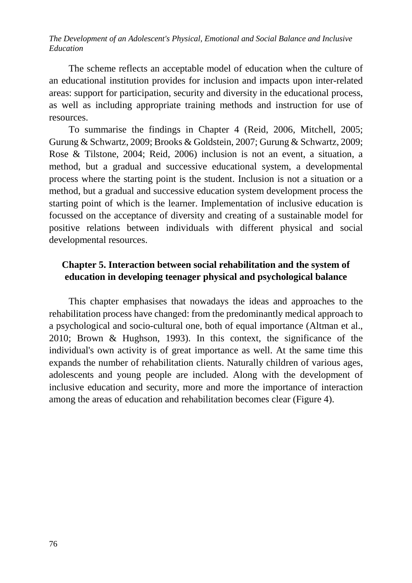The scheme reflects an acceptable model of education when the culture of an educational institution provides for inclusion and impacts upon inter-related areas: support for participation, security and diversity in the educational process, as well as including appropriate training methods and instruction for use of resources.

To summarise the findings in Chapter 4 (Reid, 2006, Mitchell, 2005; Gurung & Schwartz, 2009; Brooks & Goldstein, 2007; Gurung & Schwartz, 2009; Rose & Tilstone, 2004; Reid, 2006) inclusion is not an event, a situation, a method, but a gradual and successive educational system, a developmental process where the starting point is the student. Inclusion is not a situation or a method, but a gradual and successive education system development process the starting point of which is the learner. Implementation of inclusive education is focussed on the acceptance of diversity and creating of a sustainable model for positive relations between individuals with different physical and social developmental resources.

# **Chapter 5. Interaction between social rehabilitation and the system of education in developing teenager physical and psychological balance**

This chapter emphasises that nowadays the ideas and approaches to the rehabilitation process have changed: from the predominantly medical approach to a psychological and socio-cultural one, both of equal importance (Altman et al., 2010; Brown & Hughson, 1993). In this context, the significance of the individual's own activity is of great importance as well. At the same time this expands the number of rehabilitation clients. Naturally children of various ages, adolescents and young people are included. Along with the development of inclusive education and security, more and more the importance of interaction among the areas of education and rehabilitation becomes clear (Figure 4).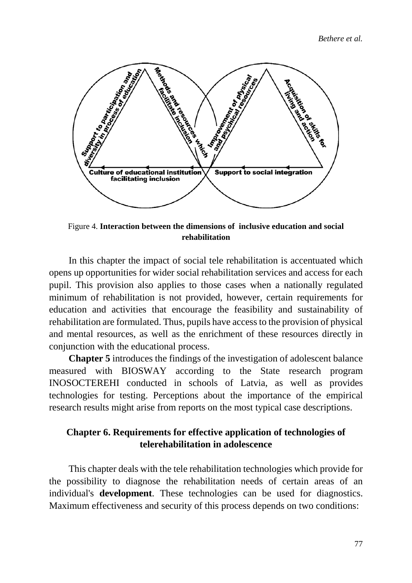*Bethere et al.*



Figure 4. **Interaction between the dimensions of inclusive education and social rehabilitation**

In this chapter the impact of social tele rehabilitation is accentuated which opens up opportunities for wider social rehabilitation services and access for each pupil. This provision also applies to those cases when a nationally regulated minimum of rehabilitation is not provided, however, certain requirements for education and activities that encourage the feasibility and sustainability of rehabilitation are formulated. Thus, pupils have access to the provision of physical and mental resources, as well as the enrichment of these resources directly in conjunction with the educational process.

**Chapter 5** introduces the findings of the investigation of adolescent balance measured with BIOSWAY according to the State research program INOSOCTEREHI conducted in schools of Latvia, as well as provides technologies for testing. Perceptions about the importance of the empirical research results might arise from reports on the most typical case descriptions.

### **Chapter 6. Requirements for effective application of technologies of telerehabilitation in adolescence**

This chapter deals with the tele rehabilitation technologies which provide for the possibility to diagnose the rehabilitation needs of certain areas of an individual's **development**. These technologies can be used for diagnostics. Maximum effectiveness and security of this process depends on two conditions: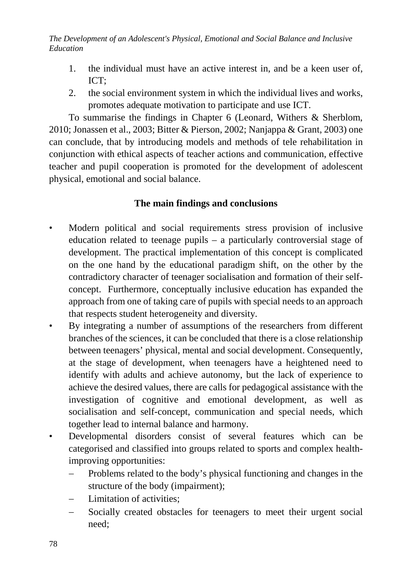- 1. the individual must have an active interest in, and be a keen user of, ICT;
- 2. the social environment system in which the individual lives and works, promotes adequate motivation to participate and use ICT.

To summarise the findings in Chapter 6 (Leonard, Withers & Sherblom, 2010; Jonassen et al., 2003; Bitter & Pierson, 2002; Nanjappa & Grant, 2003) one can conclude, that by introducing models and methods of tele rehabilitation in conjunction with ethical aspects of teacher actions and communication, effective teacher and pupil cooperation is promoted for the development of adolescent physical, emotional and social balance.

# **The main findings and conclusions**

- Modern political and social requirements stress provision of inclusive education related to teenage pupils – a particularly controversial stage of development. The practical implementation of this concept is complicated on the one hand by the educational paradigm shift, on the other by the contradictory character of teenager socialisation and formation of their selfconcept. Furthermore, conceptually inclusive education has expanded the approach from one of taking care of pupils with special needs to an approach that respects student heterogeneity and diversity.
- By integrating a number of assumptions of the researchers from different branches of the sciences, it can be concluded that there is a close relationship between teenagers' physical, mental and social development. Consequently, at the stage of development, when teenagers have a heightened need to identify with adults and achieve autonomy, but the lack of experience to achieve the desired values, there are calls for pedagogical assistance with the investigation of cognitive and emotional development, as well as socialisation and self-concept, communication and special needs, which together lead to internal balance and harmony.
- Developmental disorders consist of several features which can be categorised and classified into groups related to sports and complex healthimproving opportunities:
	- − Problems related to the body's physical functioning and changes in the structure of the body (impairment);
	- Limitation of activities:
	- − Socially created obstacles for teenagers to meet their urgent social need;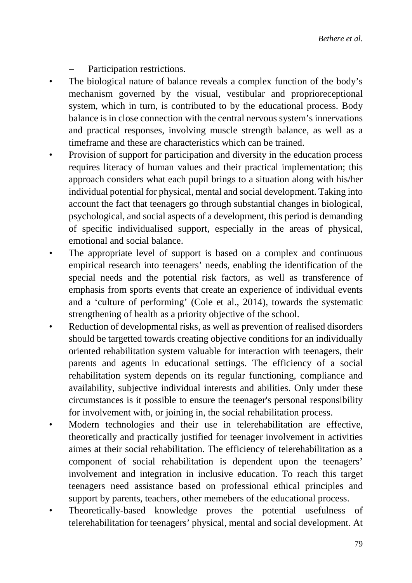Participation restrictions.

- The biological nature of balance reveals a complex function of the body's mechanism governed by the visual, vestibular and proprioreceptional system, which in turn, is contributed to by the educational process. Body balance is in close connection with the central nervous system's innervations and practical responses, involving muscle strength balance, as well as a timeframe and these are characteristics which can be trained.
- Provision of support for participation and diversity in the education process requires literacy of human values and their practical implementation; this approach considers what each pupil brings to a situation along with his/her individual potential for physical, mental and social development. Taking into account the fact that teenagers go through substantial changes in biological, psychological, and social aspects of a development, this period is demanding of specific individualised support, especially in the areas of physical, emotional and social balance.
- The appropriate level of support is based on a complex and continuous empirical research into teenagers' needs, enabling the identification of the special needs and the potential risk factors, as well as transference of emphasis from sports events that create an experience of individual events and a 'culture of performing' (Cole et al., 2014), towards the systematic strengthening of health as a priority objective of the school.
- Reduction of developmental risks, as well as prevention of realised disorders should be targetted towards creating objective conditions for an individually oriented rehabilitation system valuable for interaction with teenagers, their parents and agents in educational settings. The efficiency of a social rehabilitation system depends on its regular functioning, compliance and availability, subjective individual interests and abilities. Only under these circumstances is it possible to ensure the teenager's personal responsibility for involvement with, or joining in, the social rehabilitation process.
- Modern technologies and their use in telerehabilitation are effective, theoretically and practically justified for teenager involvement in activities aimes at their social rehabilitation. The efficiency of telerehabilitation as a component of social rehabilitation is dependent upon the teenagers' involvement and integration in inclusive education. To reach this target teenagers need assistance based on professional ethical principles and support by parents, teachers, other memebers of the educational process.
- Theoretically-based knowledge proves the potential usefulness of telerehabilitation for teenagers' physical, mental and social development. At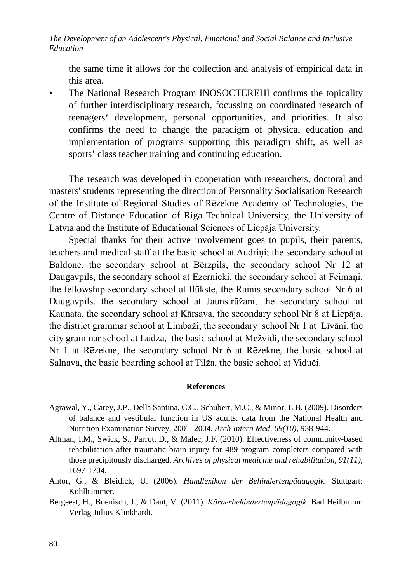the same time it allows for the collection and analysis of empirical data in this area.

• The National Research Program INOSOCTEREHI confirms the topicality of further interdisciplinary research, focussing on coordinated research of teenagers' development, personal opportunities, and priorities. It also confirms the need to change the paradigm of physical education and implementation of programs supporting this paradigm shift, as well as sports' class teacher training and continuing education.

The research was developed in cooperation with researchers, doctoral and masters' students representing the direction of Personality Socialisation Research of the Institute of Regional Studies of Rēzekne Academy of Technologies, the Centre of Distance Education of Riga Technical University, the University of Latvia and the Institute of Educational Sciences of Liepāja University.

Special thanks for their active involvement goes to pupils, their parents, teachers and medical staff at the basic school at Audriņi; the secondary school at Baldone, the secondary school at Bērzpils, the secondary school Nr 12 at Daugavpils, the secondary school at Ezernieki, the secondary school at Feimani, the fellowship secondary school at Ilūkste, the Rainis secondary school Nr 6 at Daugavpils, the secondary school at Jaunstrūžani, the secondary school at Kaunata, the secondary school at Kārsava, the secondary school Nr 8 at Liepāja, the district grammar school at Limbaži, the secondary school Nr 1 at Līvāni, the city grammar school at Ludza, the basic school at Mežvidi, the secondary school Nr 1 at Rēzekne, the secondary school Nr 6 at Rēzekne, the basic school at Salnava, the basic boarding school at Tilža, the basic school at Viduči.

#### **References**

- Agrawal, Y., Carey, J.P., Della Santina, C.C., Schubert, M.C., & Minor, L.B. (2009). Disorders of balance and vestibular function in US adults: data from the National Health and Nutrition Examination Survey, 2001–2004. *Arch Intern Med, 69(10)*, 938-944.
- Altman, I.M., Swick, S., Parrot, D., & Malec, J.F. (2010). Effectiveness of community-based rehabilitation after traumatic brain injury for 489 program completers compared with those precipitously discharged. *Archives of physical medicine and rehabilitation*, *91(11)*, 1697-1704.
- Antor, G., & Bleidick, U. (2006). *Handlexikon der Behindertenpädagogik.* Stuttgart: Kohlhammer.
- Bergeest, H., Boenisch, J., & Daut, V. (2011). *Kӧrperbehindertenpӓdagogik.* Bad Heilbrunn: Verlag Julius Klinkhardt.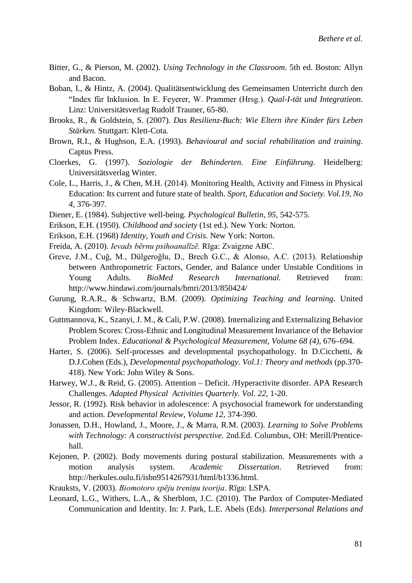- Bitter, G., & Pierson, M. (2002). *Using Technology in the Classroom*. 5th ed. Boston: Allyn and Bacon.
- Boban, I., & Hintz, A. (2004). Qualitätsentwicklung des Gemeinsamen Unterricht durch den "Index für Inklusion. In E. Feyerer, W. Prammer (Hrsg.). *Qual-I-tät und Integratieon*. Linz: Universitätsverlag Rudolf Trauner, 65-80.
- Brooks, R., & Goldstein, S. (2007). *Das Resilienz-Buch: Wie Eltern ihre Kinder fürs Leben Stärken.* Stuttgart: Klett-Cota.
- Brown, R.I., & Hughson, E.A. (1993). *Behavioural and social rehabilitation and training*. Captus Press.
- Cloerkes, G. (1997). *Soziologie der Behinderten. Eine Einführung*. Heidelberg: Universitätsverlag Winter.
- Cole, L., Harris, J., & Chen, M.H. (2014). Monitoring Health, Activity and Fitness in Physical Education: Its current and future state of health. *Sport, Education and Society. Vol.19, No 4*, 376-397.
- Diener, E. (1984). Subjective well-being. *Psychological Bulletin*, *95*, 542-575.
- Erikson, E.H. (1950). *Childhood and society* (1st ed.). New York: Norton.
- Erikson, E.H. (1968) *Identity, Youth and Crisis.* New York: Norton.
- Freida, A. (2010). *Ievads bērnu psihoanalīzē.* Rīga: Zvaigzne ABC.
- Greve, J.M., Cuğ, M., Dülgeroğlu, D., Brech G.C., & Alonso, A.C. (2013). Relationship between Anthropometric Factors, Gender, and Balance under Unstable Conditions in Young Adults. *BioMed Research International.* Retrieved from: <http://www.hindawi.com/journals/bmri/2013/850424/>
- Gurung, R.A.R., & Schwartz, B.M. (2009). *Optimizing Teaching and learning*. United Kingdom: Wiley-Blackwell.
- Guttmannova, K., Szanyi, J. M., & Cali, P.W. (2008). Internalizing and Externalizing Behavior Problem Scores: Cross-Ethnic and Longitudinal Measurement Invariance of the Behavior Problem Index. *Educational & Psychological Measurement, Volume 68 (4)*, 676–694.
- Harter, S. (2006). Self-processes and developmental psychopathology. In D.Cicchetti, & D.J.Cohen (Eds.), *Developmental psychopathology. Vol.1: Theory and methods* (pp.370- 418). New York: John Wiley & Sons.
- Harwey, W.J., & Reid, G. (2005). Attention Deficit. /Hyperactivite disorder. APA Research Challenges. *Adapted Physical Activities Quarterly. Vol. 22*, 1-20.
- Jessor, R. (1992)*.* Risk behavior in adolescence: A psychosocial framework for understanding and action. *Developmental Review, Volume 12*, 374-390.
- Jonassen, D.H., Howland, J., Moore, J., & Marra, R.M. (2003). *Learning to Solve Problems with Technology: A constructivist perspective.* 2nd.Ed. Columbus, OH: Merill/Prenticehall.
- Kejonen, P. (2002). Body movements during postural stabilization. Measurements with a motion analysis system. *Academic Dissertation*. Retrieved from: [http://herkules.oulu.fi/isbn9514267931/html/b1336.html.](http://herkules.oulu.fi/isbn9514267931/html/b1336.html)
- Krauksts, V. (2003). *Biomotoro spēju treniņu teorija*. Rīga: LSPA.
- Leonard, L.G., Withers, L.A., & Sherblom, J.C. (2010). The Pardox of Computer-Mediated Communication and Identity. In: J. Park, L.E. Abels (Eds). *Interpersonal Relations and*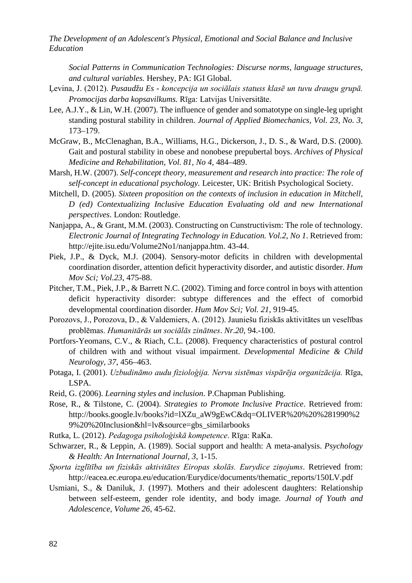*Social Patterns in Communication Technologies: Discurse norms, language structures, and cultural variables.* Hershey, PA: IGI Global.

- Ļevina, J. (2012). *Pusaudžu Es - koncepcija un sociālais statuss klasē un tuvu draugu grupā. Promocijas darba kopsavilkums.* Rīga: Latvijas Universitāte.
- Lee, A.J.Y., & Lin, W.H. (2007). The influence of gender and somatotype on single-leg upright standing postural stability in children. *Journal of Applied Biomechanics*, *Vol. 23, No. 3*, 173–179.
- McGraw, B., McClenaghan, B.A., Williams, H.G., Dickerson, J., D. S., & Ward, D.S. (2000). Gait and postural stability in obese and nonobese prepubertal boys. *Archives of Physical Medicine and Rehabilitation*, *Vol. 81, No 4*, 484–489.
- Marsh, H.W. (2007). *Self-concept theory, measurement and research into practice: The role of self-concept in educational psychology.* Leicester, UK: British Psychological Society.
- Mitchell, D. (2005). *Sixteen proposition on the contexts of inclusion in education in Mitchell, D (ed) Contextualizing Inclusive Education Evaluating old and new International perspectives*. London: Routledge.
- Nanjappa, A., & Grant, M.M. (2003). Constructing on Cunstructivism: The role of technology. *Electronic Journal of Integrating Technology in Education. Vol.2, No 1*. Retrieved from: [http://ejite.isu.edu/Volume2No1/nanjappa.htm. 43-44.](http://ejite.isu.edu/Volume2No1/nanjappa.htm.%2043-44)
- Piek, J.P., & Dyck, M.J. (2004). Sensory-motor deficits in children with developmental coordination disorder, attention deficit hyperactivity disorder, and autistic disorder. *Hum Mov Sci; Vol.23*, 475-88.
- Pitcher, T.M., Piek, J.P., & Barrett N.C. (2002). Timing and force control in boys with attention deficit hyperactivity disorder: subtype differences and the effect of comorbid developmental coordination disorder. *Hum Mov Sci; Vol. 21*, 919-45.
- Porozovs, J., Porozova, D., & Valdemiers, A. (2012). Jauniešu fiziskās aktivitātes un veselības problēmas. *Humanitārās un sociālās zinātnes*. *Nr.20*, 94.-100.
- Portfors-Yeomans, C.V., & Riach, C.L. (2008). Frequency characteristics of postural control of children with and without visual impairment. *Developmental Medicine & Child Neurology, 37*, 456–463.
- Potaga, I. (2001). *Uzbudināmo audu fizioloģija. Nervu sistēmas vispārēja organizācija.* Rīga, LSPA.
- Reid, G. (2006). *Learning styles and inclusion*. P.Chapman Publishing.
- Rose, R., & Tilstone, C. (2004). *Strategies to Promote Inclusive Practice*. Retrieved from: [http://books.google.lv/books?id=lXZu\\_aW9gEwC&dq=OLIVER%20%20%281990%2](http://books.google.lv/books?id=lXZu_aW9gEwC&dq=OLIVER%20%20%281990%29%20%20Inclusion&hl=lv&source=gbs_similarbooks) [9%20%20Inclusion&hl=lv&source=gbs\\_similarbooks](http://books.google.lv/books?id=lXZu_aW9gEwC&dq=OLIVER%20%20%281990%29%20%20Inclusion&hl=lv&source=gbs_similarbooks)

Rutka, L. (2012). *Pedagoga psiholoģiskā kompetence*. Rīga: RaKa.

- Schwarzer, R., & Leppin, A. (1989). Social support and health: A meta-analysis. *Psychology & Health: An International Journal*, *3*, 1-15.
- *Sporta izglītība un fiziskās aktivitātes Eiropas skolās. Eurydice ziņojums*. Retrieved from: [http://eacea.ec.europa.eu/education/Eurydice/documents/thematic\\_reports/150LV.pdf](http://eacea.ec.europa.eu/education/Eurydice/documents/thematic_reports/150LV.pdf)
- Usmiani, S., & Daniluk, J. (1997). Mothers and their adolescent daughters: Relationship between self-esteem, gender role identity, and body image*. Journal of Youth and Adolescence, Volume 26,* 45-62.